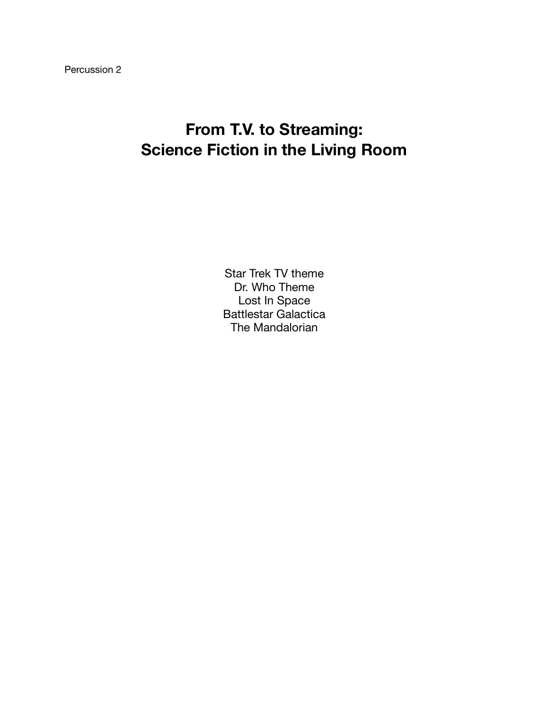### **From T.V. to Streaming: Science Fiction in the Living Room**

Star Trek TV theme Dr. Who Theme Lost In Space Battlestar Galactica The Mandalorian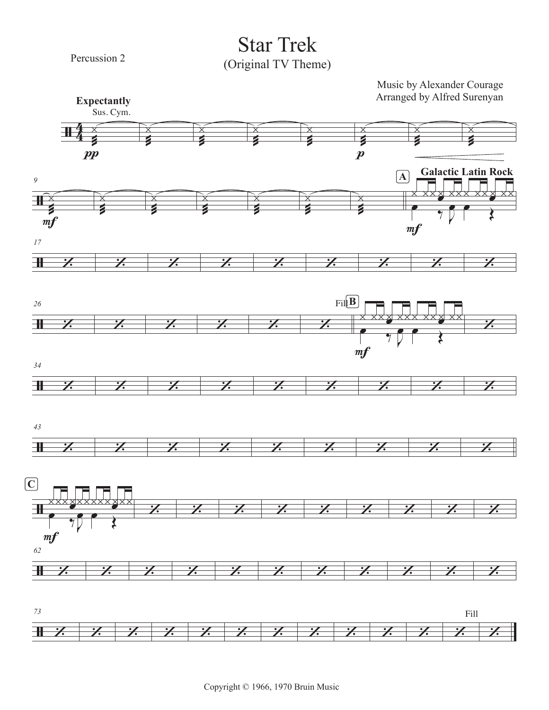Percussion 2

**Star Trek** (Original TV Theme)

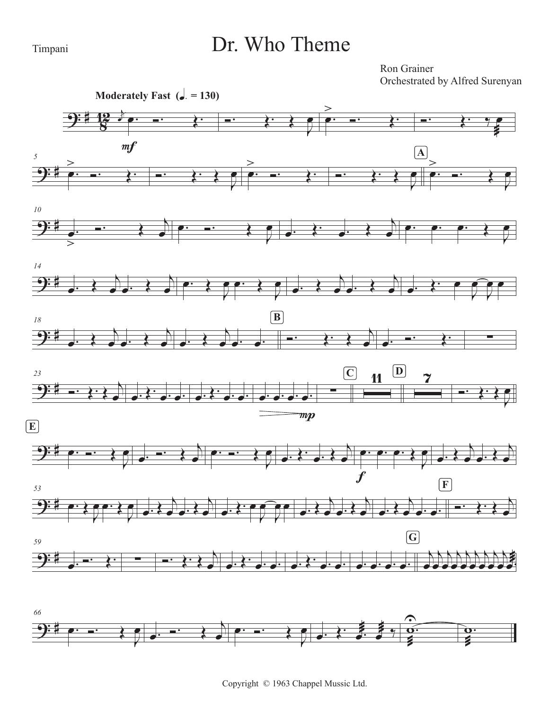#### Timpani

 $\equiv$ 

### Dr. Who Theme

Ron Grainer Orchestrated by Alfred Surenyan

 $\frac{\partial}{\partial x}$ 

 $\widetilde{\mathbf{o}}$ 

 $\frac{1}{1}$ 





 $\blacksquare$ 

 $\overline{\mathbf{f}}$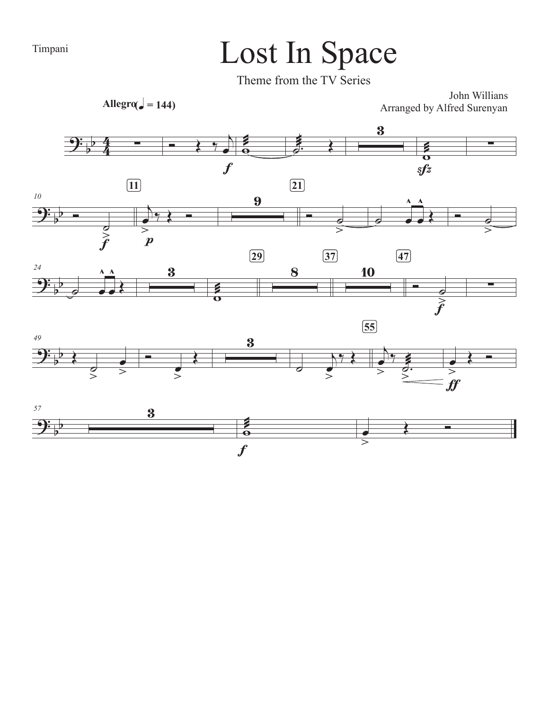# Timpani Lost In Space

Theme from the TV Series

 $\text{Allegro}(\text{e}) = 144)$ 

John Willians Arranged by Alfred Surenyan

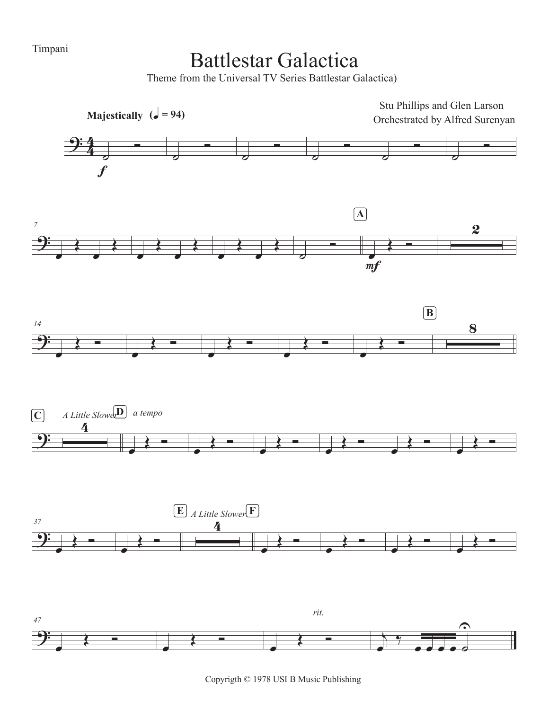Timpani

### Battlestar Galactica

Theme from the Universal TV Series Battlestar Galactica)



Copyrigth © 1978 USI B Music Publishing